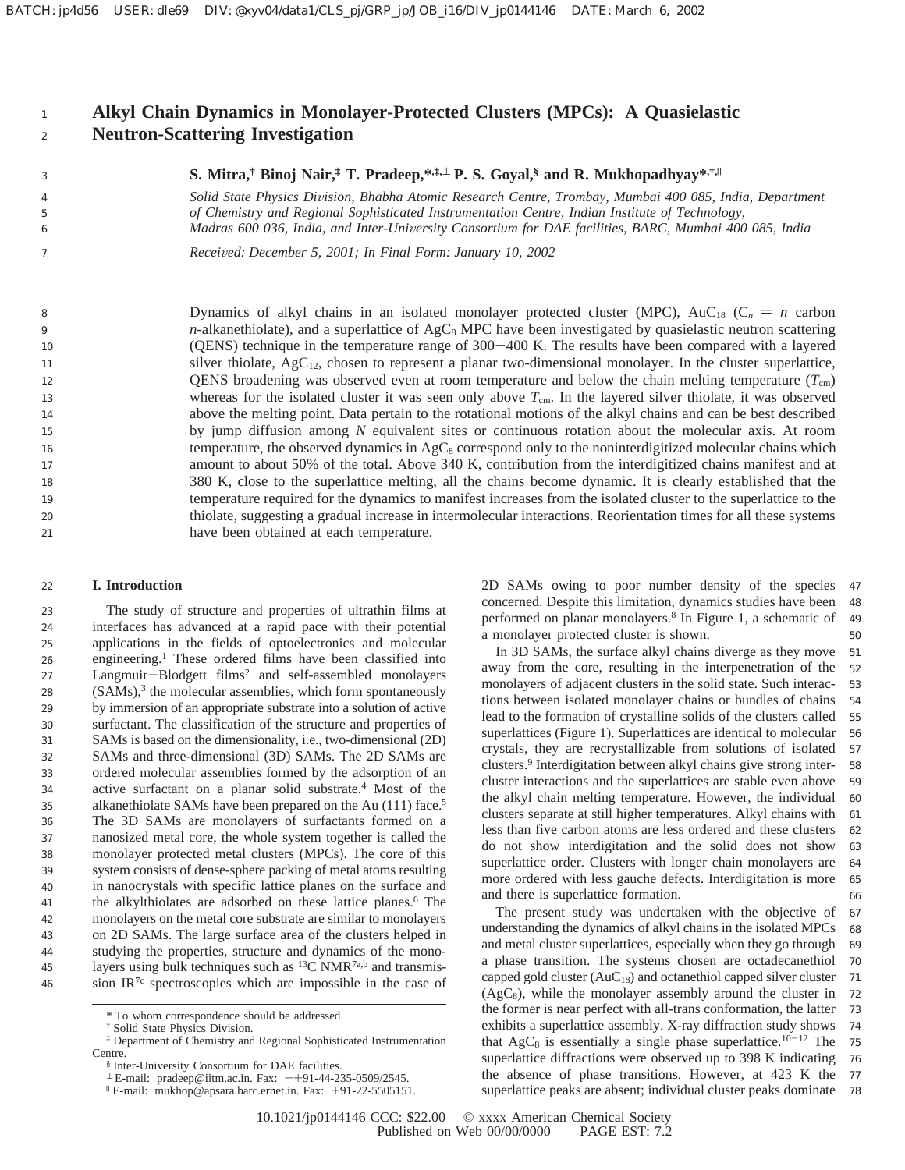### **Alkyl Chain Dynamics in Monolayer-Protected Clusters (MPCs): A Quasielastic Neutron-Scattering Investigation** 1 2

3 4

5 6 7

**S. Mitra,† Binoj Nair,‡ T. Pradeep,\*,‡,**<sup>⊥</sup> **P. S. Goyal,§ and R. Mukhopadhyay\*,†,**<sup>|</sup>

*Solid State Physics Di*V*ision, Bhabha Atomic Research Centre, Trombay, Mumbai 400 085, India, Department of Chemistry and Regional Sophisticated Instrumentation Centre, Indian Institute of Technology, Madras 600 036, India, and Inter-Uni*V*ersity Consortium for DAE facilities, BARC, Mumbai 400 085, India*

*Recei*V*ed: December 5, 2001; In Final Form: January 10, 2002*

Dynamics of alkyl chains in an isolated monolayer protected cluster (MPC), AuC<sub>18</sub> (C<sub>n</sub> = n carbon  $n$ -alkanethiolate), and a superlattice of AgC<sub>8</sub> MPC have been investigated by quasielastic neutron scattering (QENS) technique in the temperature range of 300-400 K. The results have been compared with a layered silver thiolate,  $AgC_{12}$ , chosen to represent a planar two-dimensional monolayer. In the cluster superlattice, QENS broadening was observed even at room temperature and below the chain melting temperature  $(T_{cm})$ whereas for the isolated cluster it was seen only above  $T_{cm}$ . In the layered silver thiolate, it was observed above the melting point. Data pertain to the rotational motions of the alkyl chains and can be best described by jump diffusion among *N* equivalent sites or continuous rotation about the molecular axis. At room temperature, the observed dynamics in  $AgC_8$  correspond only to the noninterdigitized molecular chains which amount to about 50% of the total. Above 340 K, contribution from the interdigitized chains manifest and at 380 K, close to the superlattice melting, all the chains become dynamic. It is clearly established that the temperature required for the dynamics to manifest increases from the isolated cluster to the superlattice to the thiolate, suggesting a gradual increase in intermolecular interactions. Reorientation times for all these systems have been obtained at each temperature. 8 9 10 11 12 13 14 15 16 17 18 19 20 21

#### **I. Introduction** 22

The study of structure and properties of ultrathin films at interfaces has advanced at a rapid pace with their potential applications in the fields of optoelectronics and molecular engineering.1 These ordered films have been classified into Langmuir-Blodgett films<sup>2</sup> and self-assembled monolayers  $(SAMs)$ ,<sup>3</sup> the molecular assemblies, which form spontaneously by immersion of an appropriate substrate into a solution of active surfactant. The classification of the structure and properties of SAMs is based on the dimensionality, i.e., two-dimensional (2D) SAMs and three-dimensional (3D) SAMs. The 2D SAMs are ordered molecular assemblies formed by the adsorption of an active surfactant on a planar solid substrate.4 Most of the alkanethiolate SAMs have been prepared on the Au (111) face.<sup>5</sup> The 3D SAMs are monolayers of surfactants formed on a nanosized metal core, the whole system together is called the monolayer protected metal clusters (MPCs). The core of this system consists of dense-sphere packing of metal atoms resulting in nanocrystals with specific lattice planes on the surface and the alkylthiolates are adsorbed on these lattice planes.<sup>6</sup> The monolayers on the metal core substrate are similar to monolayers on 2D SAMs. The large surface area of the clusters helped in studying the properties, structure and dynamics of the monolayers using bulk techniques such as  ${}^{13}C$  NMR<sup>7a,b</sup> and transmission  $IR^{7c}$  spectroscopies which are impossible in the case of 23 24 25 26 27 28 29 30 31 32 33 34 35 36 37 38 39 40 41 42 43 44 45 46

2D SAMs owing to poor number density of the species concerned. Despite this limitation, dynamics studies have been performed on planar monolayers.8 In Figure 1, a schematic of a monolayer protected cluster is shown. 47 48 49 50

In 3D SAMs, the surface alkyl chains diverge as they move away from the core, resulting in the interpenetration of the monolayers of adjacent clusters in the solid state. Such interactions between isolated monolayer chains or bundles of chains lead to the formation of crystalline solids of the clusters called superlattices (Figure 1). Superlattices are identical to molecular crystals, they are recrystallizable from solutions of isolated clusters.9 Interdigitation between alkyl chains give strong intercluster interactions and the superlattices are stable even above the alkyl chain melting temperature. However, the individual clusters separate at still higher temperatures. Alkyl chains with less than five carbon atoms are less ordered and these clusters do not show interdigitation and the solid does not show superlattice order. Clusters with longer chain monolayers are more ordered with less gauche defects. Interdigitation is more and there is superlattice formation. 51 52 53 54 55 56 57 58 59 60 61 62 63 64 65 66

The present study was undertaken with the objective of understanding the dynamics of alkyl chains in the isolated MPCs and metal cluster superlattices, especially when they go through a phase transition. The systems chosen are octadecanethiol capped gold cluster  $(AuC_{18})$  and octanethiol capped silver cluster  $(AgC_8)$ , while the monolayer assembly around the cluster in the former is near perfect with all-trans conformation, the latter exhibits a superlattice assembly. X-ray diffraction study shows that  $AgC_8$  is essentially a single phase superlattice.<sup>10-12</sup> The superlattice diffractions were observed up to 398 K indicating the absence of phase transitions. However, at 423 K the superlattice peaks are absent; individual cluster peaks dominate 67 68 69 70 71 72 73 74 75 76 77 78

<sup>\*</sup> To whom correspondence should be addressed.

<sup>†</sup> Solid State Physics Division.

<sup>‡</sup> Department of Chemistry and Regional Sophisticated Instrumentation Centre.

<sup>§</sup> Inter-University Consortium for DAE facilities.

 $^{\perp}$  E-mail: pradeep@iitm.ac.in. Fax:  $++91-44-235-0509/2545$ .<br>  $^{\parallel}$  E-mail: mukhop@apsara.barc.ernet.in. Fax:  $+91-22-5505151$ .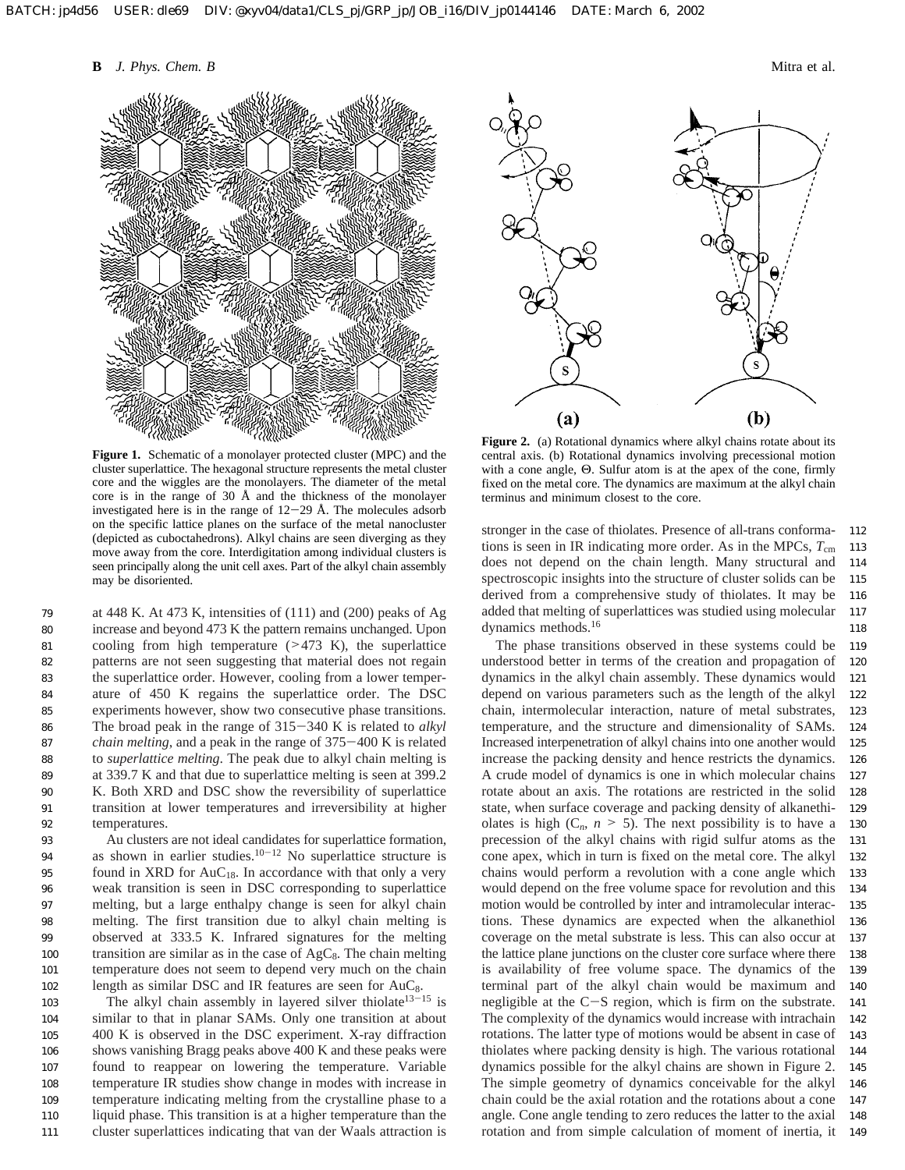**B** *J. Phys. Chem. B* Mitra et al.



**Figure 1.** Schematic of a monolayer protected cluster (MPC) and the cluster superlattice. The hexagonal structure represents the metal cluster core and the wiggles are the monolayers. The diameter of the metal core is in the range of 30 Å and the thickness of the monolayer investigated here is in the range of  $12-29$  Å. The molecules adsorb on the specific lattice planes on the surface of the metal nanocluster (depicted as cuboctahedrons). Alkyl chains are seen diverging as they move away from the core. Interdigitation among individual clusters is seen principally along the unit cell axes. Part of the alkyl chain assembly may be disoriented.

at 448 K. At 473 K, intensities of (111) and (200) peaks of Ag increase and beyond 473 K the pattern remains unchanged. Upon cooling from high temperature  $($ >473 K), the superlattice patterns are not seen suggesting that material does not regain the superlattice order. However, cooling from a lower temperature of 450 K regains the superlattice order. The DSC experiments however, show two consecutive phase transitions. The broad peak in the range of 315-340 K is related to *alkyl chain melting*, and a peak in the range of 375-400 K is related to *superlattice melting*. The peak due to alkyl chain melting is at 339.7 K and that due to superlattice melting is seen at 399.2 K. Both XRD and DSC show the reversibility of superlattice transition at lower temperatures and irreversibility at higher temperatures. 79 80 81 82 83 84 85 86 87 88 89 90 91 92

Au clusters are not ideal candidates for superlattice formation, as shown in earlier studies.<sup>10-12</sup> No superlattice structure is found in XRD for  $AuC_{18}$ . In accordance with that only a very weak transition is seen in DSC corresponding to superlattice melting, but a large enthalpy change is seen for alkyl chain melting. The first transition due to alkyl chain melting is observed at 333.5 K. Infrared signatures for the melting transition are similar as in the case of  $AgC_8$ . The chain melting temperature does not seem to depend very much on the chain length as similar DSC and IR features are seen for  $AuC_8$ . 93 94 95 96 97 98 99 100 101 102

The alkyl chain assembly in layered silver thiolate<sup>13-15</sup> is similar to that in planar SAMs. Only one transition at about 400 K is observed in the DSC experiment. X-ray diffraction shows vanishing Bragg peaks above 400 K and these peaks were found to reappear on lowering the temperature. Variable temperature IR studies show change in modes with increase in temperature indicating melting from the crystalline phase to a liquid phase. This transition is at a higher temperature than the cluster superlattices indicating that van der Waals attraction is 103 104 105 106 107 108 109 110 111



Figure 2. (a) Rotational dynamics where alkyl chains rotate about its central axis. (b) Rotational dynamics involving precessional motion with a cone angle, Θ. Sulfur atom is at the apex of the cone, firmly fixed on the metal core. The dynamics are maximum at the alkyl chain terminus and minimum closest to the core.

stronger in the case of thiolates. Presence of all-trans conformations is seen in IR indicating more order. As in the MPCs,  $T_{cm}$ does not depend on the chain length. Many structural and spectroscopic insights into the structure of cluster solids can be derived from a comprehensive study of thiolates. It may be added that melting of superlattices was studied using molecular dynamics methods.16 112 113 114 115 116 117 118

The phase transitions observed in these systems could be understood better in terms of the creation and propagation of dynamics in the alkyl chain assembly. These dynamics would depend on various parameters such as the length of the alkyl chain, intermolecular interaction, nature of metal substrates, temperature, and the structure and dimensionality of SAMs. Increased interpenetration of alkyl chains into one another would increase the packing density and hence restricts the dynamics. A crude model of dynamics is one in which molecular chains rotate about an axis. The rotations are restricted in the solid state, when surface coverage and packing density of alkanethiolates is high  $(C_n, n \geq 5)$ . The next possibility is to have a precession of the alkyl chains with rigid sulfur atoms as the cone apex, which in turn is fixed on the metal core. The alkyl chains would perform a revolution with a cone angle which would depend on the free volume space for revolution and this motion would be controlled by inter and intramolecular interactions. These dynamics are expected when the alkanethiol coverage on the metal substrate is less. This can also occur at the lattice plane junctions on the cluster core surface where there is availability of free volume space. The dynamics of the terminal part of the alkyl chain would be maximum and negligible at the C-S region, which is firm on the substrate. The complexity of the dynamics would increase with intrachain rotations. The latter type of motions would be absent in case of thiolates where packing density is high. The various rotational dynamics possible for the alkyl chains are shown in Figure 2. The simple geometry of dynamics conceivable for the alkyl chain could be the axial rotation and the rotations about a cone angle. Cone angle tending to zero reduces the latter to the axial rotation and from simple calculation of moment of inertia, it 149119 120 121 122 123 124 125 126 127 128 129 130 131 132 133 134 135 136 137 138 139 140 141 142 143 144 145 146 147 148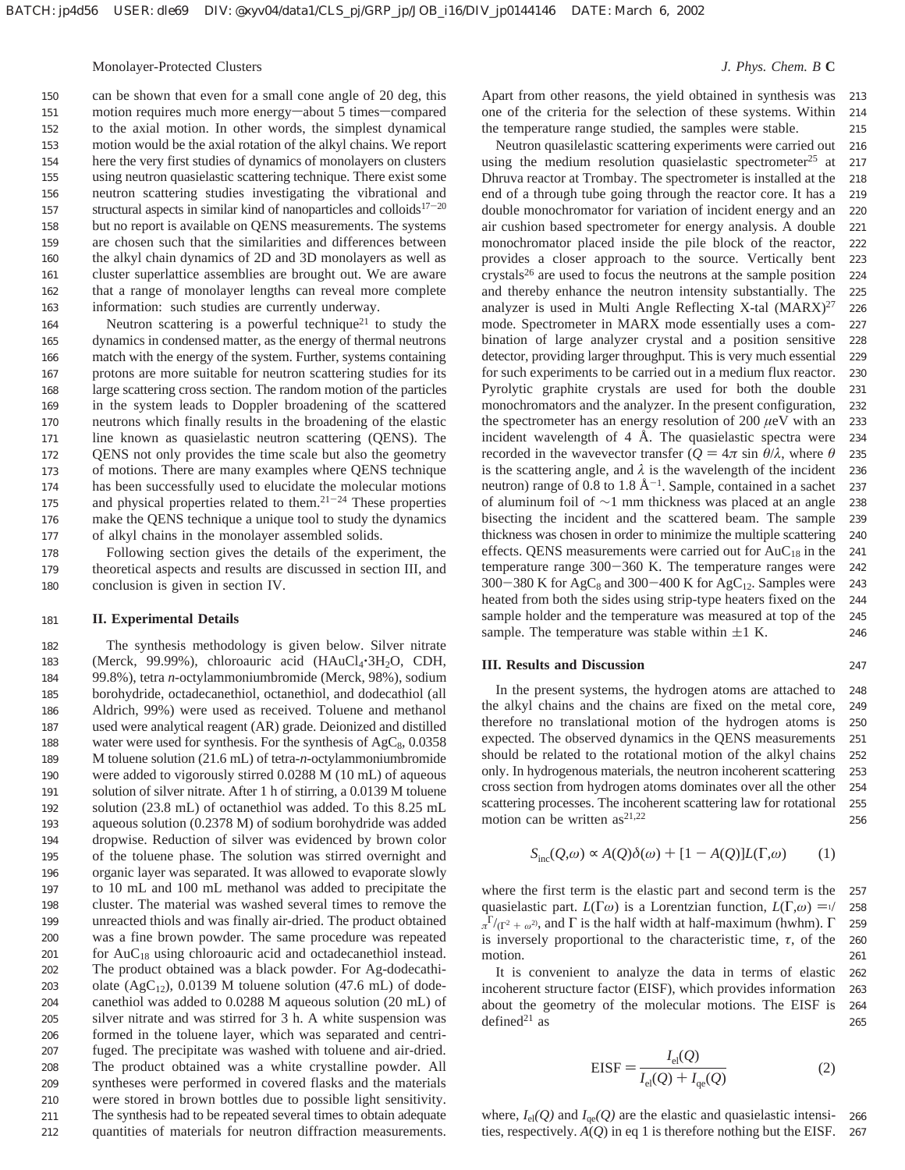Monolayer-Protected Clusters *J. Phys. Chem. B* **C**

247

can be shown that even for a small cone angle of 20 deg, this motion requires much more energy-about 5 times-compared to the axial motion. In other words, the simplest dynamical motion would be the axial rotation of the alkyl chains. We report here the very first studies of dynamics of monolayers on clusters using neutron quasielastic scattering technique. There exist some neutron scattering studies investigating the vibrational and structural aspects in similar kind of nanoparticles and colloids $17-20$ but no report is available on QENS measurements. The systems are chosen such that the similarities and differences between the alkyl chain dynamics of 2D and 3D monolayers as well as cluster superlattice assemblies are brought out. We are aware that a range of monolayer lengths can reveal more complete information: such studies are currently underway. 150 151 152 153 154 155 156 157 158 159 160 161 162 163

Neutron scattering is a powerful technique<sup>21</sup> to study the dynamics in condensed matter, as the energy of thermal neutrons match with the energy of the system. Further, systems containing protons are more suitable for neutron scattering studies for its large scattering cross section. The random motion of the particles in the system leads to Doppler broadening of the scattered neutrons which finally results in the broadening of the elastic line known as quasielastic neutron scattering (QENS). The QENS not only provides the time scale but also the geometry of motions. There are many examples where QENS technique has been successfully used to elucidate the molecular motions and physical properties related to them. $21-24$  These properties make the QENS technique a unique tool to study the dynamics of alkyl chains in the monolayer assembled solids. 164 165 166 167 168 169 170 171 172 173 174 175 176 177

Following section gives the details of the experiment, the theoretical aspects and results are discussed in section III, and conclusion is given in section IV. 178 179 180

#### **II. Experimental Details** 181

The synthesis methodology is given below. Silver nitrate (Merck, 99.99%), chloroauric acid ( $HAuCl_4$ ·3H<sub>2</sub>O, CDH, 99.8%), tetra *n*-octylammoniumbromide (Merck, 98%), sodium borohydride, octadecanethiol, octanethiol, and dodecathiol (all Aldrich, 99%) were used as received. Toluene and methanol used were analytical reagent (AR) grade. Deionized and distilled water were used for synthesis. For the synthesis of  $AgC_8$ , 0.0358 M toluene solution (21.6 mL) of tetra-*n*-octylammoniumbromide were added to vigorously stirred 0.0288 M (10 mL) of aqueous solution of silver nitrate. After 1 h of stirring, a 0.0139 M toluene solution (23.8 mL) of octanethiol was added. To this 8.25 mL aqueous solution (0.2378 M) of sodium borohydride was added dropwise. Reduction of silver was evidenced by brown color of the toluene phase. The solution was stirred overnight and organic layer was separated. It was allowed to evaporate slowly to 10 mL and 100 mL methanol was added to precipitate the cluster. The material was washed several times to remove the unreacted thiols and was finally air-dried. The product obtained was a fine brown powder. The same procedure was repeated for  $AuC_{18}$  using chloroauric acid and octadecanethiol instead. The product obtained was a black powder. For Ag-dodecathiolate (AgC<sub>12</sub>), 0.0139 M toluene solution (47.6 mL) of dodecanethiol was added to 0.0288 M aqueous solution (20 mL) of silver nitrate and was stirred for 3 h. A white suspension was formed in the toluene layer, which was separated and centrifuged. The precipitate was washed with toluene and air-dried. The product obtained was a white crystalline powder. All syntheses were performed in covered flasks and the materials were stored in brown bottles due to possible light sensitivity. The synthesis had to be repeated several times to obtain adequate quantities of materials for neutron diffraction measurements. 182 183 184 185 186 187 188 189 190 191 192 193 194 195 196 197 198 199 200 201 202 203 204 205 206 207 208 209 210 211 212

Apart from other reasons, the yield obtained in synthesis was one of the criteria for the selection of these systems. Within the temperature range studied, the samples were stable. 213 214 215

Neutron quasilelastic scattering experiments were carried out using the medium resolution quasielastic spectrometer<sup>25</sup> at Dhruva reactor at Trombay. The spectrometer is installed at the end of a through tube going through the reactor core. It has a double monochromator for variation of incident energy and an air cushion based spectrometer for energy analysis. A double monochromator placed inside the pile block of the reactor, provides a closer approach to the source. Vertically bent crystals26 are used to focus the neutrons at the sample position and thereby enhance the neutron intensity substantially. The analyzer is used in Multi Angle Reflecting X-tal  $(MARX)^{27}$ mode. Spectrometer in MARX mode essentially uses a combination of large analyzer crystal and a position sensitive detector, providing larger throughput. This is very much essential for such experiments to be carried out in a medium flux reactor. Pyrolytic graphite crystals are used for both the double monochromators and the analyzer. In the present configuration, the spectrometer has an energy resolution of 200 *µ*eV with an incident wavelength of 4 Å. The quasielastic spectra were recorded in the wavevector transfer ( $Q = 4\pi \sin \theta/\lambda$ , where  $\theta$ is the scattering angle, and  $\lambda$  is the wavelength of the incident neutron) range of 0.8 to 1.8  $\AA^{-1}$ . Sample, contained in a sachet of aluminum foil of ∼1 mm thickness was placed at an angle bisecting the incident and the scattered beam. The sample thickness was chosen in order to minimize the multiple scattering effects. QENS measurements were carried out for AuC<sub>18</sub> in the temperature range 300-360 K. The temperature ranges were  $300-380$  K for AgC<sub>8</sub> and  $300-400$  K for AgC<sub>12</sub>. Samples were heated from both the sides using strip-type heaters fixed on the sample holder and the temperature was measured at top of the sample. The temperature was stable within  $\pm 1$  K. 216 217 218 219 220 221 222 223 224 225 226 227 228 229 230 231 232 233 234 235 236 237 238 239 240 241 242 243 244 245 246

## **III. Results and Discussion**

In the present systems, the hydrogen atoms are attached to the alkyl chains and the chains are fixed on the metal core, therefore no translational motion of the hydrogen atoms is expected. The observed dynamics in the QENS measurements should be related to the rotational motion of the alkyl chains only. In hydrogenous materials, the neutron incoherent scattering cross section from hydrogen atoms dominates over all the other scattering processes. The incoherent scattering law for rotational motion can be written  $as^{21,22}$ 248 249 250 251 252 253 254 255 256

$$
S_{\text{inc}}(Q,\omega) \propto A(Q)\delta(\omega) + [1 - A(Q)]L(\Gamma,\omega) \tag{1}
$$

where the first term is the elastic part and second term is the quasielastic part. *L*(Γ*ω*) is a Lorentzian function, *L*(Γ*,ω*) =  $\frac{1}{2}$  $\pi^{\Gamma}/(\Gamma^2 + \omega^2)$ , and  $\Gamma$  is the half width at half-maximum (hwhm).  $\Gamma$ <br>is inversely proportional to the oberactoristic time  $\pi$ , of the is inversely proportional to the characteristic time,  $\tau$ , of the motion. 257 258 259 260 261

It is convenient to analyze the data in terms of elastic incoherent structure factor (EISF), which provides information about the geometry of the molecular motions. The EISF is defined $21$  as 262 263 264 265

$$
EISF = \frac{I_{el}(Q)}{I_{el}(Q) + I_{qe}(Q)}
$$
 (2)

where,  $I_{el}(Q)$  and  $I_{qe}(Q)$  are the elastic and quasielastic intensities, respectively. *A*(*Q*) in eq 1 is therefore nothing but the EISF. 267266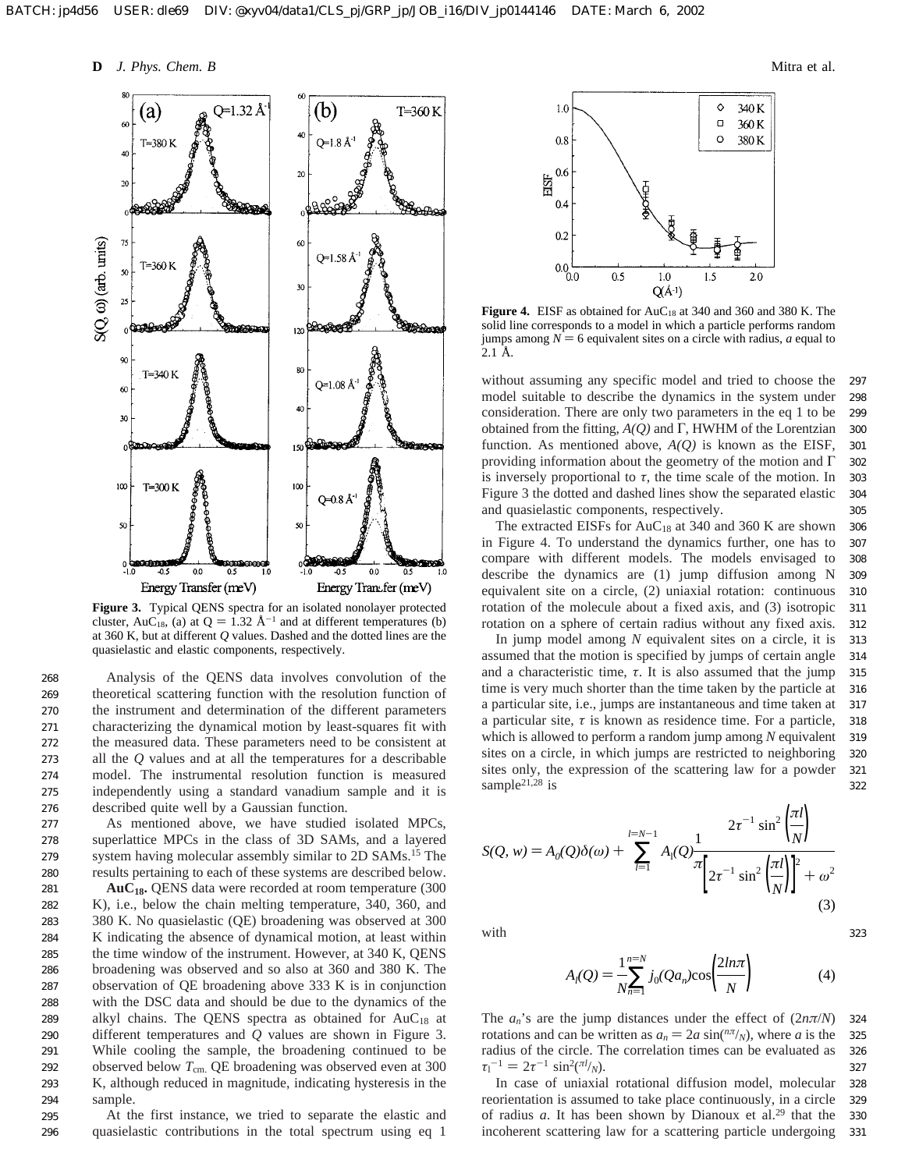**D** *J. Phys. Chem. B* Mitra et al.



**Figure 3.** Typical QENS spectra for an isolated nonolayer protected cluster, AuC<sub>18</sub>, (a) at  $Q = 1.32 \text{ Å}^{-1}$  and at different temperatures (b) at 360 K, but at different *Q* values. Dashed and the dotted lines are the quasielastic and elastic components, respectively.

Analysis of the QENS data involves convolution of the theoretical scattering function with the resolution function of the instrument and determination of the different parameters characterizing the dynamical motion by least-squares fit with the measured data. These parameters need to be consistent at all the *Q* values and at all the temperatures for a describable model. The instrumental resolution function is measured independently using a standard vanadium sample and it is described quite well by a Gaussian function. 268 269 270 271 272 273 274 275 276

As mentioned above, we have studied isolated MPCs, superlattice MPCs in the class of 3D SAMs, and a layered system having molecular assembly similar to 2D SAMs.<sup>15</sup> The results pertaining to each of these systems are described below.

**AuC18.** QENS data were recorded at room temperature (300 K), i.e., below the chain melting temperature, 340, 360, and 380 K. No quasielastic (QE) broadening was observed at 300 K indicating the absence of dynamical motion, at least within the time window of the instrument. However, at 340 K, QENS broadening was observed and so also at 360 and 380 K. The observation of QE broadening above 333 K is in conjunction with the DSC data and should be due to the dynamics of the alkyl chains. The QENS spectra as obtained for  $AuC_{18}$  at different temperatures and *Q* values are shown in Figure 3. While cooling the sample, the broadening continued to be observed below  $T_{cm}$ . QE broadening was observed even at 300 K, although reduced in magnitude, indicating hysteresis in the sample. 281 282 283 284 285 286 287 288 289 290 291 292 293 294

At the first instance, we tried to separate the elastic and quasielastic contributions in the total spectrum using eq 1 295 296



**Figure 4.** EISF as obtained for AuC<sub>18</sub> at 340 and 360 and 380 K. The solid line corresponds to a model in which a particle performs random jumps among  $N = 6$  equivalent sites on a circle with radius, *a* equal to 2.1 Å.

without assuming any specific model and tried to choose the model suitable to describe the dynamics in the system under consideration. There are only two parameters in the eq 1 to be obtained from the fitting, *A(Q)* and Γ, HWHM of the Lorentzian function. As mentioned above, *A(Q)* is known as the EISF, providing information about the geometry of the motion and Γ is inversely proportional to  $\tau$ , the time scale of the motion. In Figure 3 the dotted and dashed lines show the separated elastic and quasielastic components, respectively. 297 298 299 300 301 302 303 304 305

The extracted EISFs for  $AuC_{18}$  at 340 and 360 K are shown in Figure 4. To understand the dynamics further, one has to compare with different models. The models envisaged to describe the dynamics are (1) jump diffusion among N equivalent site on a circle, (2) uniaxial rotation: continuous rotation of the molecule about a fixed axis, and (3) isotropic rotation on a sphere of certain radius without any fixed axis. 306 307 308 309 310 311 312

In jump model among *N* equivalent sites on a circle, it is assumed that the motion is specified by jumps of certain angle and a characteristic time,  $\tau$ . It is also assumed that the jump time is very much shorter than the time taken by the particle at a particular site, i.e., jumps are instantaneous and time taken at a particular site,  $\tau$  is known as residence time. For a particle, which is allowed to perform a random jump among *N* equivalent sites on a circle, in which jumps are restricted to neighboring sites only, the expression of the scattering law for a powder sample<sup>21,28</sup> is 313 314 315 316 317 318 319 320 321 322

$$
S(Q, w) = A_0(Q)\delta(\omega) + \sum_{l=1}^{l=N-1} A_l(Q) \frac{2\tau^{-1} \sin^2\left(\frac{\pi l}{N}\right)}{\pi \left[2\tau^{-1} \sin^2\left(\frac{\pi l}{N}\right)\right]^2 + \omega^2}
$$
(3)

with

$$
A_{l}(Q) = \frac{1}{N} \sum_{n=1}^{n=N} j_{0}(Qa_{n}) \cos\left(\frac{2n\pi}{N}\right)
$$
 (4)

323

The  $a_n$ 's are the jump distances under the effect of  $(2n\pi/N)$ rotations and can be written as  $a_n = 2a \sin(n\pi/\sqrt{N})$ , where *a* is the radius of the circle. The correlation times can be evaluated as  $\tau_1^{-1} = 2\tau^{-1} \sin^2(\pi l_N)$ .<br>In case of uniaxia 324 325 326 327

In case of uniaxial rotational diffusion model, molecular reorientation is assumed to take place continuously, in a circle of radius *a*. It has been shown by Dianoux et al.29 that the incoherent scattering law for a scattering particle undergoing 328 329 330 331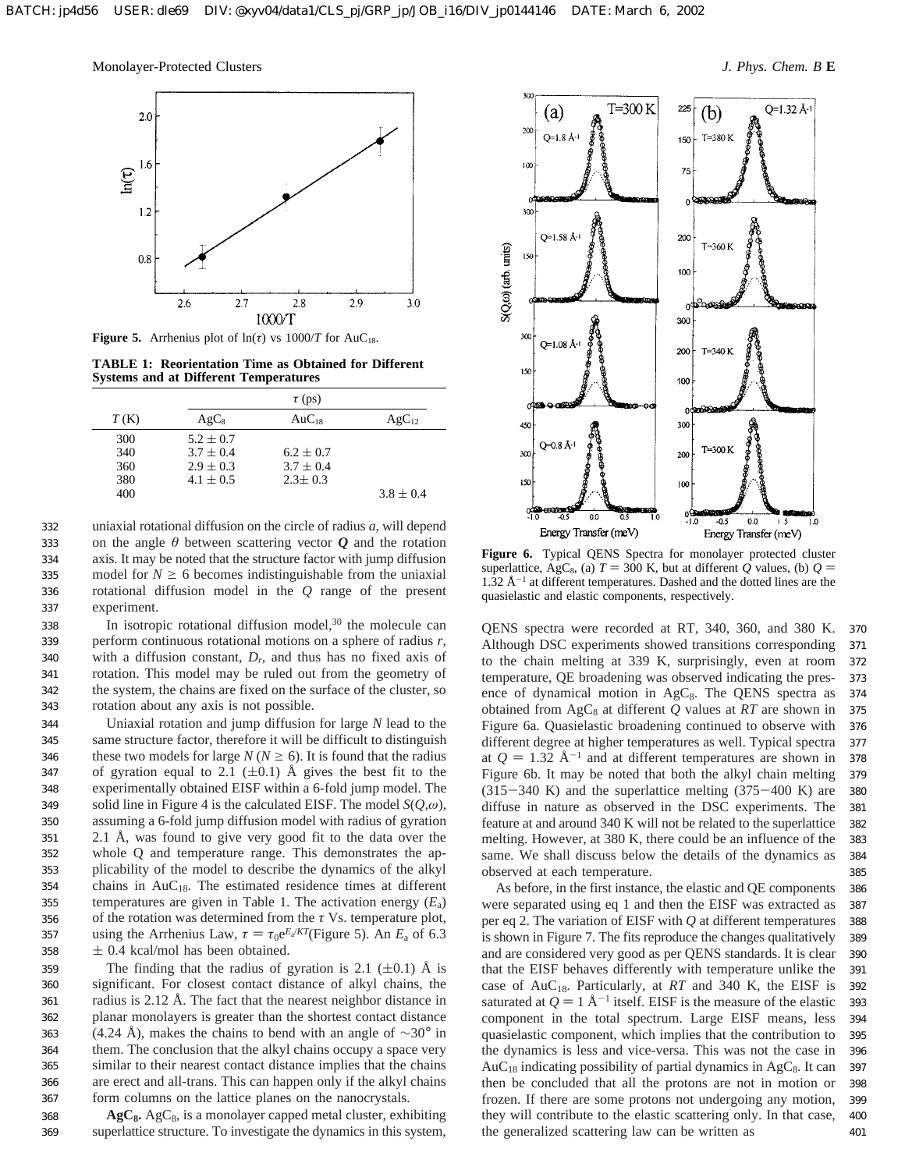

**Figure 5.** Arrhenius plot of  $ln(\tau)$  vs  $1000/T$  for  $AuC_{18}$ .

**TABLE 1: Reorientation Time as Obtained for Different Systems and at Different Temperatures**

|      | $\tau$ (ps)   |               |               |
|------|---------------|---------------|---------------|
| T(K) | $AgC_8$       | $AuC_{18}$    | $AgC_{12}$    |
| 300  | $5.2 \pm 0.7$ |               |               |
| 340  | $3.7 \pm 0.4$ | $6.2 \pm 0.7$ |               |
| 360  | $2.9 \pm 0.3$ | $3.7 \pm 0.4$ |               |
| 380  | $4.1 \pm 0.5$ | $2.3 \pm 0.3$ |               |
| 400  |               |               | $3.8 \pm 0.4$ |

uniaxial rotational diffusion on the circle of radius *a*, will depend on the angle  $\theta$  between scattering vector  $\boldsymbol{Q}$  and the rotation axis. It may be noted that the structure factor with jump diffusion model for  $N \ge 6$  becomes indistinguishable from the uniaxial rotational diffusion model in the *Q* range of the present experiment. 332 333 334 335 336 337

In isotropic rotational diffusion model,<sup>30</sup> the molecule can perform continuous rotational motions on a sphere of radius *r*, with a diffusion constant,  $D<sub>b</sub>$  and thus has no fixed axis of rotation. This model may be ruled out from the geometry of the system, the chains are fixed on the surface of the cluster, so rotation about any axis is not possible. 338 339 340 341 342 343

Uniaxial rotation and jump diffusion for large *N* lead to the same structure factor, therefore it will be difficult to distinguish these two models for large  $N (N \ge 6)$ . It is found that the radius of gyration equal to 2.1 ( $\pm$ 0.1) Å gives the best fit to the experimentally obtained EISF within a 6-fold jump model. The solid line in Figure 4 is the calculated EISF. The model *S*(*Q*,*ω*), assuming a 6-fold jump diffusion model with radius of gyration 2.1 Å, was found to give very good fit to the data over the whole Q and temperature range. This demonstrates the applicability of the model to describe the dynamics of the alkyl chains in  $AuC_{18}$ . The estimated residence times at different temperatures are given in Table 1. The activation energy (*E*a) of the rotation was determined from the *τ* Vs. temperature plot, using the Arrhenius Law,  $\tau = \tau_0 e^{E_a/KT}$ (Figure 5). An  $E_a$  of 6.3  $\pm$  0.4 kcal/mol has been obtained. 344 345 346 347 348 349 350 351 352 353 354 355 356 357 358

The finding that the radius of gyration is 2.1  $(\pm 0.1)$  Å is significant. For closest contact distance of alkyl chains, the radius is 2.12 Å. The fact that the nearest neighbor distance in planar monolayers is greater than the shortest contact distance (4.24 Å), makes the chains to bend with an angle of  $\sim$ 30° in them. The conclusion that the alkyl chains occupy a space very similar to their nearest contact distance implies that the chains are erect and all-trans. This can happen only if the alkyl chains form columns on the lattice planes on the nanocrystals. 359 360 361 362 363 364 365 366 367

AgC<sub>8</sub>. AgC<sub>8</sub>, is a monolayer capped metal cluster, exhibiting superlattice structure. To investigate the dynamics in this system, 368 369



**Figure 6.** Typical QENS Spectra for monolayer protected cluster superlattice, AgC<sub>8</sub>, (a)  $T = 300$  K, but at different *Q* values, (b)  $Q =$  $1.32 \text{ Å}^{-1}$  at different temperatures. Dashed and the dotted lines are the quasielastic and elastic components, respectively.

QENS spectra were recorded at RT, 340, 360, and 380 K. Although DSC experiments showed transitions corresponding to the chain melting at 339 K, surprisingly, even at room temperature, QE broadening was observed indicating the presence of dynamical motion in  $AgC_8$ . The QENS spectra as obtained from  $AgC_8$  at different  $Q$  values at  $RT$  are shown in Figure 6a. Quasielastic broadening continued to observe with different degree at higher temperatures as well. Typical spectra at  $Q = 1.32 \text{ Å}^{-1}$  and at different temperatures are shown in Figure 6b. It may be noted that both the alkyl chain melting  $(315-340 \text{ K})$  and the superlattice melting  $(375-400 \text{ K})$  are diffuse in nature as observed in the DSC experiments. The feature at and around 340 K will not be related to the superlattice melting. However, at 380 K, there could be an influence of the same. We shall discuss below the details of the dynamics as observed at each temperature. 370 371 372 373 374 375 376 377 378 379 380 381 382 383 384 385

As before, in the first instance, the elastic and QE components were separated using eq 1 and then the EISF was extracted as per eq 2. The variation of EISF with *Q* at different temperatures is shown in Figure 7. The fits reproduce the changes qualitatively and are considered very good as per QENS standards. It is clear that the EISF behaves differently with temperature unlike the case of AuC18. Particularly, at *RT* and 340 K, the EISF is saturated at  $Q = 1$  Å<sup>-1</sup> itself. EISF is the measure of the elastic component in the total spectrum. Large EISF means, less quasielastic component, which implies that the contribution to the dynamics is less and vice-versa. This was not the case in  $AuC_{18}$  indicating possibility of partial dynamics in AgC<sub>8</sub>. It can then be concluded that all the protons are not in motion or frozen. If there are some protons not undergoing any motion, they will contribute to the elastic scattering only. In that case, the generalized scattering law can be written as 386 387 388 389 390 391 392 393 394 395 396 397 398 399 400 401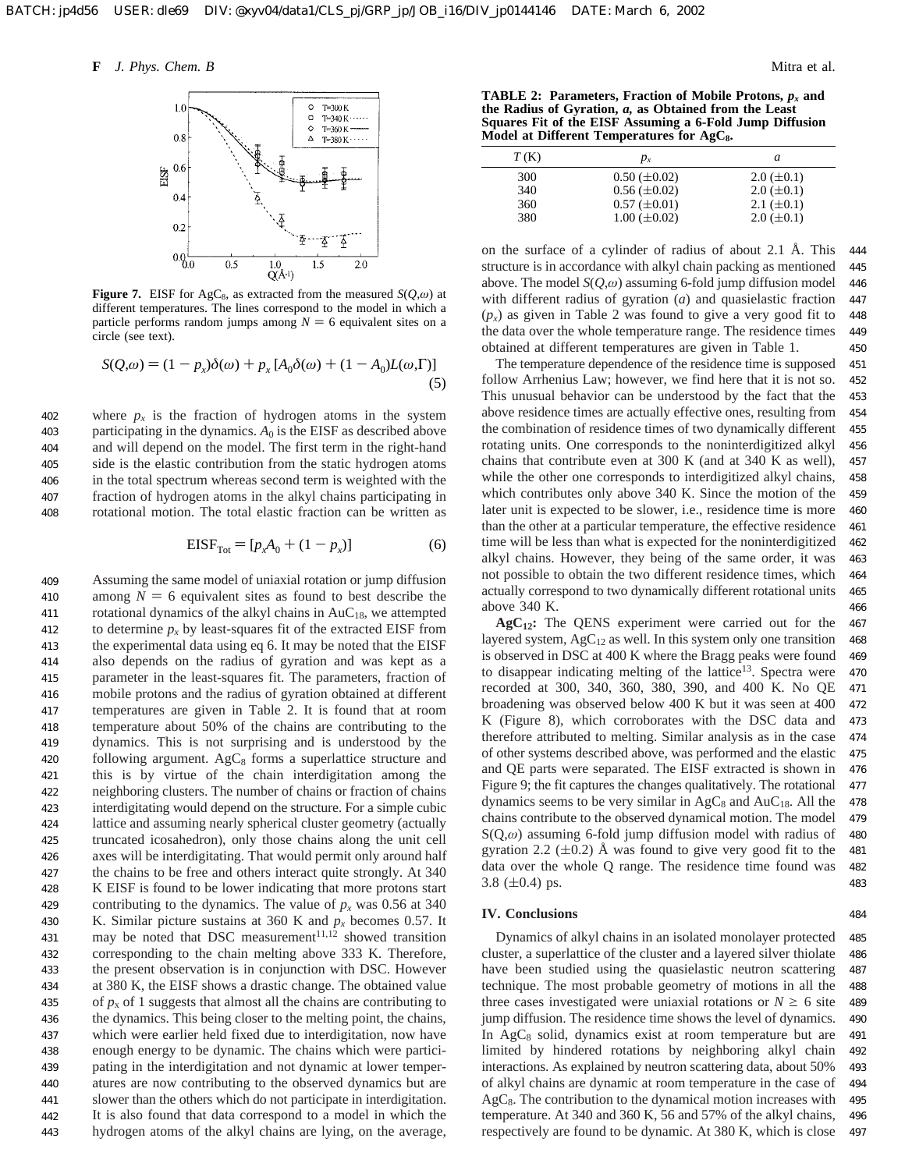

**Figure 7.** EISF for AgC<sub>8</sub>, as extracted from the measured  $S(Q,\omega)$  at different temperatures. The lines correspond to the model in which a particle performs random jumps among  $N = 6$  equivalent sites on a circle (see text).

$$
S(Q,\omega) = (1 - p_x)\delta(\omega) + p_x [A_0\delta(\omega) + (1 - A_0)L(\omega,\Gamma)]
$$
\n(5)

where  $p_x$  is the fraction of hydrogen atoms in the system participating in the dynamics.  $A_0$  is the EISF as described above and will depend on the model. The first term in the right-hand side is the elastic contribution from the static hydrogen atoms in the total spectrum whereas second term is weighted with the fraction of hydrogen atoms in the alkyl chains participating in rotational motion. The total elastic fraction can be written as 402 403 404 405 406 407 408

$$
EISF_{Tot} = [p_x A_0 + (1 - p_x)]
$$
 (6)

Assuming the same model of uniaxial rotation or jump diffusion among  $N = 6$  equivalent sites as found to best describe the rotational dynamics of the alkyl chains in  $AuC_{18}$ , we attempted to determine  $p_x$  by least-squares fit of the extracted EISF from the experimental data using eq 6. It may be noted that the EISF also depends on the radius of gyration and was kept as a parameter in the least-squares fit. The parameters, fraction of mobile protons and the radius of gyration obtained at different temperatures are given in Table 2. It is found that at room temperature about 50% of the chains are contributing to the dynamics. This is not surprising and is understood by the following argument.  $AgC_8$  forms a superlattice structure and this is by virtue of the chain interdigitation among the neighboring clusters. The number of chains or fraction of chains interdigitating would depend on the structure. For a simple cubic lattice and assuming nearly spherical cluster geometry (actually truncated icosahedron), only those chains along the unit cell axes will be interdigitating. That would permit only around half the chains to be free and others interact quite strongly. At 340 K EISF is found to be lower indicating that more protons start contributing to the dynamics. The value of  $p_x$  was 0.56 at 340 K. Similar picture sustains at 360 K and  $p_x$  becomes 0.57. It may be noted that DSC measurement $11,12$  showed transition corresponding to the chain melting above 333 K. Therefore, the present observation is in conjunction with DSC. However at 380 K, the EISF shows a drastic change. The obtained value of  $p_x$  of 1 suggests that almost all the chains are contributing to the dynamics. This being closer to the melting point, the chains, which were earlier held fixed due to interdigitation, now have enough energy to be dynamic. The chains which were participating in the interdigitation and not dynamic at lower temperatures are now contributing to the observed dynamics but are slower than the others which do not participate in interdigitation. It is also found that data correspond to a model in which the hydrogen atoms of the alkyl chains are lying, on the average, 409 410 411 412 413 414 415 416 417 418 419 420 421 422 423 424 425 426 427 428 429 430 431 432 433 434 435 436 437 438 439 440 441 442 443

**TABLE 2: Parameters, Fraction of Mobile Protons,** *px* **and the Radius of Gyration,** *a,* **as Obtained from the Least Squares Fit of the EISF Assuming a 6-Fold Jump Diffusion** Model at Different Temperatures for AgC<sub>8</sub>.

| T(K) | $p_{x}$             | a                 |
|------|---------------------|-------------------|
| 300  | $0.50 \ (\pm 0.02)$ | $2.0 \ (\pm 0.1)$ |
| 340  | $0.56 \ (\pm 0.02)$ | $2.0 \ (\pm 0.1)$ |
| 360  | $0.57 \ (\pm 0.01)$ | $2.1 (\pm 0.1)$   |
| 380  | $1.00 \ (\pm 0.02)$ | $2.0 \ (\pm 0.1)$ |

on the surface of a cylinder of radius of about 2.1 Å. This structure is in accordance with alkyl chain packing as mentioned above. The model *S*(*Q*,*ω*) assuming 6-fold jump diffusion model with different radius of gyration (*a*) and quasielastic fraction  $(p_x)$  as given in Table 2 was found to give a very good fit to the data over the whole temperature range. The residence times obtained at different temperatures are given in Table 1. 444 445 446 447 448 449 450

The temperature dependence of the residence time is supposed follow Arrhenius Law; however, we find here that it is not so. This unusual behavior can be understood by the fact that the above residence times are actually effective ones, resulting from the combination of residence times of two dynamically different rotating units. One corresponds to the noninterdigitized alkyl chains that contribute even at 300 K (and at 340 K as well), while the other one corresponds to interdigitized alkyl chains, which contributes only above 340 K. Since the motion of the later unit is expected to be slower, i.e., residence time is more than the other at a particular temperature, the effective residence time will be less than what is expected for the noninterdigitized alkyl chains. However, they being of the same order, it was not possible to obtain the two different residence times, which actually correspond to two dynamically different rotational units above 340 K. 451 452 453 454 455 456 457 458 459 460 461 462 463 464 465 466

**AgC12:** The QENS experiment were carried out for the layered system,  $AgC_{12}$  as well. In this system only one transition is observed in DSC at 400 K where the Bragg peaks were found to disappear indicating melting of the lattice<sup>13</sup>. Spectra were recorded at 300, 340, 360, 380, 390, and 400 K. No QE broadening was observed below 400 K but it was seen at 400 K (Figure 8), which corroborates with the DSC data and therefore attributed to melting. Similar analysis as in the case of other systems described above, was performed and the elastic and QE parts were separated. The EISF extracted is shown in Figure 9; the fit captures the changes qualitatively. The rotational dynamics seems to be very similar in  $AgC_8$  and  $AuC_{18}$ . All the chains contribute to the observed dynamical motion. The model S(Q,*ω*) assuming 6-fold jump diffusion model with radius of gyration 2.2 ( $\pm$ 0.2) Å was found to give very good fit to the data over the whole Q range. The residence time found was 3.8 ( $\pm$ 0.4) ps. 467 468 469 470 471 472 473 474 475 476 477 478 479 480 481 482 483

## **IV. Conclusions**

Dynamics of alkyl chains in an isolated monolayer protected cluster, a superlattice of the cluster and a layered silver thiolate have been studied using the quasielastic neutron scattering technique. The most probable geometry of motions in all the three cases investigated were uniaxial rotations or  $N \geq 6$  site jump diffusion. The residence time shows the level of dynamics. In  $AgC_8$  solid, dynamics exist at room temperature but are limited by hindered rotations by neighboring alkyl chain interactions. As explained by neutron scattering data, about 50% of alkyl chains are dynamic at room temperature in the case of  $AgC_8$ . The contribution to the dynamical motion increases with temperature. At 340 and 360 K, 56 and 57% of the alkyl chains, respectively are found to be dynamic. At 380 K, which is close 485 486 487 488 489 490 491 492 493 494 495 496 497

484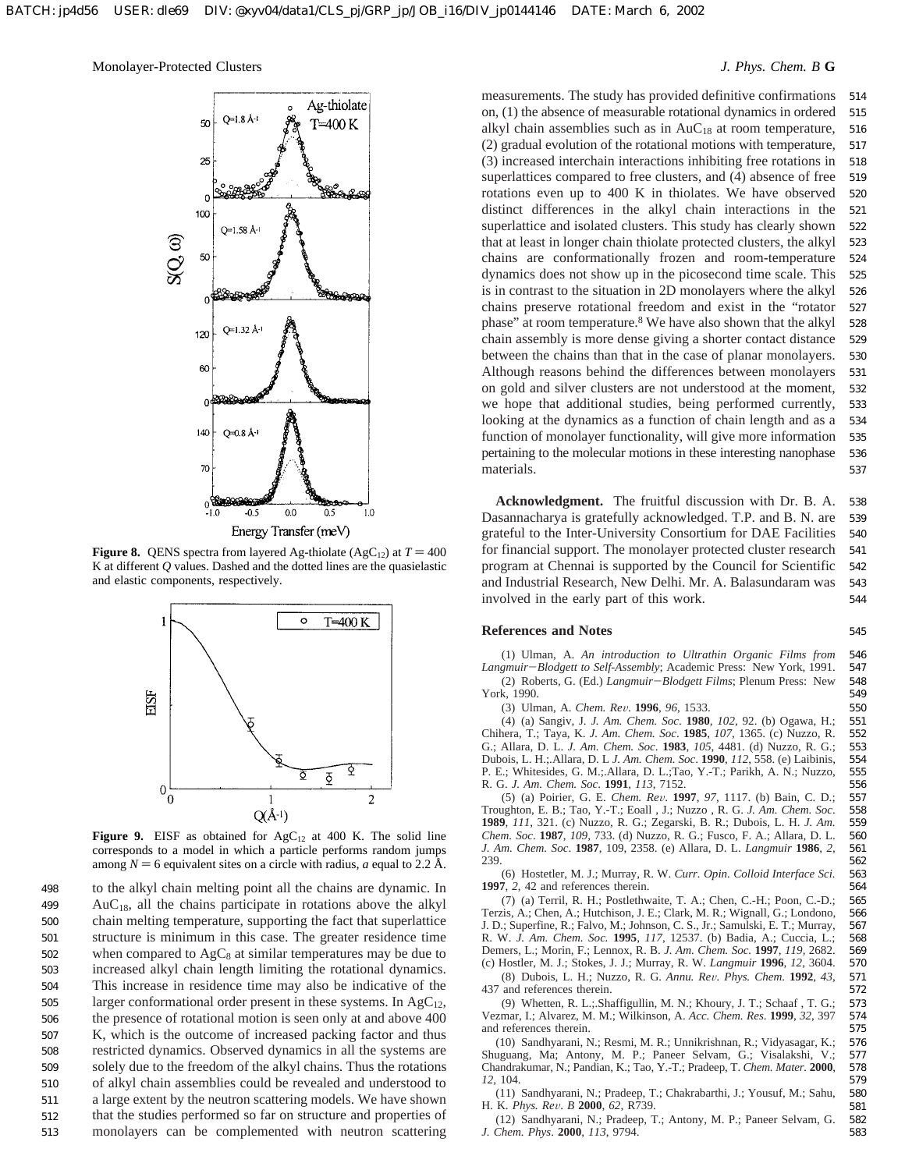# Monolayer-Protected Clusters *J. Phys. Chem. B* **G**



**Figure 8.** QENS spectra from layered Ag-thiolate (AgC<sub>12</sub>) at  $T = 400$ K at different *Q* values. Dashed and the dotted lines are the quasielastic and elastic components, respectively.



Figure 9. EISF as obtained for AgC<sub>12</sub> at 400 K. The solid line corresponds to a model in which a particle performs random jumps among  $N = 6$  equivalent sites on a circle with radius, *a* equal to 2.2 Å.

to the alkyl chain melting point all the chains are dynamic. In  $AuC_{18}$ , all the chains participate in rotations above the alkyl chain melting temperature, supporting the fact that superlattice structure is minimum in this case. The greater residence time when compared to  $AgC_8$  at similar temperatures may be due to increased alkyl chain length limiting the rotational dynamics. This increase in residence time may also be indicative of the larger conformational order present in these systems. In  $AgC_{12}$ , the presence of rotational motion is seen only at and above 400 K, which is the outcome of increased packing factor and thus restricted dynamics. Observed dynamics in all the systems are solely due to the freedom of the alkyl chains. Thus the rotations of alkyl chain assemblies could be revealed and understood to a large extent by the neutron scattering models. We have shown that the studies performed so far on structure and properties of monolayers can be complemented with neutron scattering 498 499 500 501 502 503 504 505 506 507 508 509 510 511 512 513

measurements. The study has provided definitive confirmations on, (1) the absence of measurable rotational dynamics in ordered alkyl chain assemblies such as in  $AuC_{18}$  at room temperature, (2) gradual evolution of the rotational motions with temperature, (3) increased interchain interactions inhibiting free rotations in superlattices compared to free clusters, and (4) absence of free rotations even up to 400 K in thiolates. We have observed distinct differences in the alkyl chain interactions in the superlattice and isolated clusters. This study has clearly shown that at least in longer chain thiolate protected clusters, the alkyl chains are conformationally frozen and room-temperature dynamics does not show up in the picosecond time scale. This is in contrast to the situation in 2D monolayers where the alkyl chains preserve rotational freedom and exist in the "rotator phase" at room temperature.8 We have also shown that the alkyl chain assembly is more dense giving a shorter contact distance between the chains than that in the case of planar monolayers. Although reasons behind the differences between monolayers on gold and silver clusters are not understood at the moment, we hope that additional studies, being performed currently, looking at the dynamics as a function of chain length and as a function of monolayer functionality, will give more information pertaining to the molecular motions in these interesting nanophase materials. 514 515 516 517 518 519 520 521 522 523 524 525 526 527 528 529 530 531 532 533 534 535 536 537

**Acknowledgment.** The fruitful discussion with Dr. B. A. Dasannacharya is gratefully acknowledged. T.P. and B. N. are grateful to the Inter-University Consortium for DAE Facilities for financial support. The monolayer protected cluster research program at Chennai is supported by the Council for Scientific and Industrial Research, New Delhi. Mr. A. Balasundaram was involved in the early part of this work. 538 539 540 541 542 543 544

### **References and Notes**

(1) Ulman, A. *An introduction to Ultrathin Organic Films from Langmuir*-*Blodgett to Self-Assembly*; Academic Press: New York, 1991. (2) Roberts, G. (Ed.) *Langmuir*-*Blodgett Films*; Plenum Press: New York, 1990. 546 547 548

(3) Ulman, A. *Chem. Re*V. **<sup>1996</sup>**, *<sup>96</sup>*, 1533.

(4) (a) Sangiv, J. *J. Am. Chem. Soc*. **1980**, *102*, 92. (b) Ogawa, H.; Chihera, T.; Taya, K. *J. Am. Chem. Soc*. **1985**, *107*, 1365. (c) Nuzzo, R. G.; Allara, D. L. *J. Am. Chem. Soc*. **1983**, *105*, 4481. (d) Nuzzo, R. G.; Dubois, L. H.;.Allara, D. L *J. Am. Chem. Soc*. **1990**, *112*, 558. (e) Laibinis, P. E.; Whitesides, G. M.;.Allara, D. L.;Tao, Y.-T.; Parikh, A. N.; Nuzzo, R. G. *J. Am. Chem. Soc*. **1991**, *113*, 7152. 551 552 553 554 555 556

(5) (a) Poirier, G. E. *Chem. Re*V. **<sup>1997</sup>**, *<sup>97</sup>*, 1117. (b) Bain, C. D.; Troughton, E. B.; Tao, Y.-T.; Eoall , J.; Nuzzo , R. G. *J. Am. Chem. Soc*. **1989**, *111*, 321. (c) Nuzzo, R. G.; Zegarski, B. R.; Dubois, L. H. *J. Am. Chem. Soc*. **1987**, *109*, 733. (d) Nuzzo, R. G.; Fusco, F. A.; Allara, D. L. *J. Am. Chem. Soc*. **1987**, 109, 2358. (e) Allara, D. L. *Langmuir* **1986**, *2*, 239. 557 558 559 560 561 562

(6) Hostetler, M. J.; Murray, R. W. *Curr. Opin. Colloid Interface Sci.* **1997**, *2*, 42 and references therein.

(7) (a) Terril, R. H.; Postlethwaite, T. A.; Chen, C.-H.; Poon, C.-D.; Terzis, A.; Chen, A.; Hutchison, J. E.; Clark, M. R.; Wignall, G.; Londono, J. D.; Superfine, R.; Falvo, M.; Johnson, C. S., Jr.; Samulski, E. T.; Murray, R. W. *J. Am. Chem. Soc.* **1995**, *117*, 12537. (b) Badia, A.; Cuccia, L.; Demers, L.; Morin, F.; Lennox, R. B. *J. Am. Chem. Soc.* **1997**, *119*, 2682. (c) Hostler, M. J.; Stokes, J. J.; Murray, R. W. *Langmuir* **1996**, *12*, 3604. 570

(8) Dubois, L. H.; Nuzzo, R. G. *Annu. Re*V*. Phys. Chem.* **<sup>1992</sup>**, *<sup>43</sup>*, 437 and references therein. 571

(9) Whetten, R. L.;.Shaffigullin, M. N.; Khoury, J. T.; Schaaf , T. G.; Vezmar, I.; Alvarez, M. M.; Wilkinson, A. *Acc. Chem. Res*. **1999**, *32*, 397 and references therein.

(10) Sandhyarani, N.; Resmi, M. R.; Unnikrishnan, R.; Vidyasagar, K.; Shuguang, Ma; Antony, M. P.; Paneer Selvam, G.; Visalakshi, V.; Chandrakumar, N.; Pandian, K.; Tao, Y.-T.; Pradeep, T. *Chem. Mater.* **2000**, *12*, 104. 576 577 578 579

(11) Sandhyarani, N.; Pradeep, T.; Chakrabarthi, J.; Yousuf, M.; Sahu, H. K. *Phys. Re*V. *<sup>B</sup>* **<sup>2000</sup>**, *<sup>62</sup>*, R739.

(12) Sandhyarani, N.; Pradeep, T.; Antony, M. P.; Paneer Selvam, G. *J. Chem. Phys*. **2000**, *113*, 9794. 582 583

545

549 550

580 581